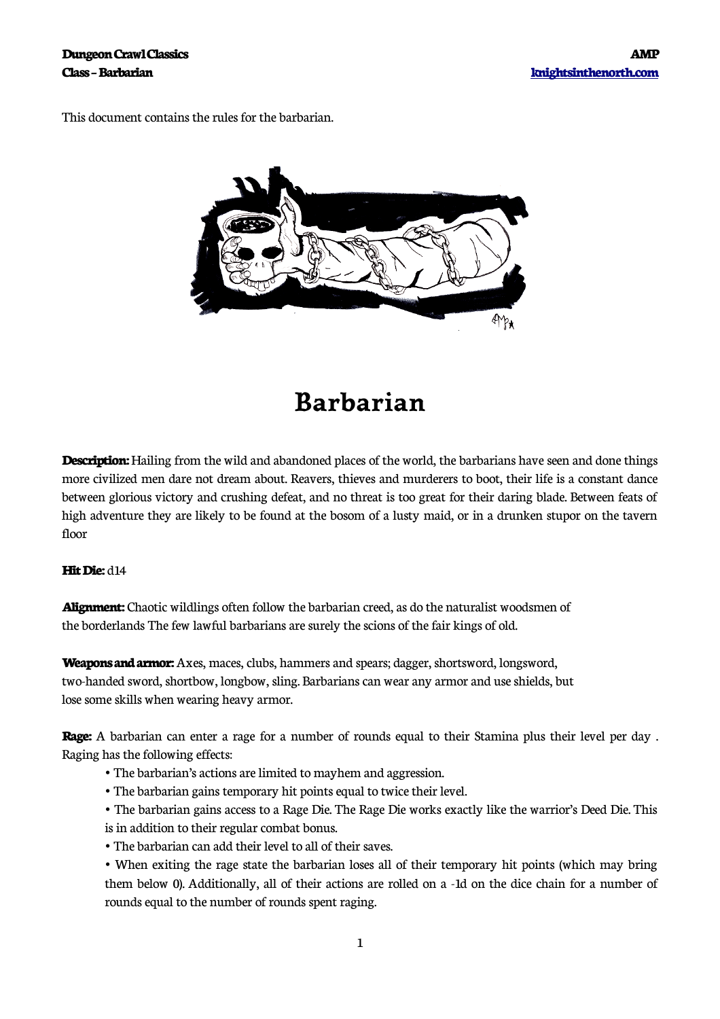This document contains the rules for the barbarian.



## **Barbarian**

**Description:** Hailing from the wild and abandoned places of the world, the barbarians have seen and done things more civilized men dare not dream about. Reavers, thieves and murderers to boot, their life is a constant dance between glorious victory and crushing defeat, and no threat is too great for their daring blade. Between feats of high adventure they are likely to be found at the bosom of a lusty maid, or in a drunken stupor on the tavern floor

## **Hit Die:** d14

**Alignment:** Chaotic wildlings often follow the barbarian creed, as do the naturalist woodsmen of the borderlands The few lawful barbarians are surely the scions of the fair kings of old.

**Weapons and armor:** Axes, maces, clubs, hammers and spears; dagger, shortsword, longsword, two-handed sword, shortbow, longbow, sling. Barbarians can wear any armor and use shields, but lose some skills when wearing heavy armor.

**Rage:** A barbarian can enter a rage for a number of rounds equal to their Stamina plus their level per day . Raging has the following effects:

- The barbarian's actions are limited to mayhem and aggression.
- The barbarian gains temporary hit points equal to twice their level.
- The barbarian gains access to a Rage Die. The Rage Die works exactly like the warrior's Deed Die. This
- is in addition to their regular combat bonus.
- The barbarian can add their level to all of their saves.
- When exiting the rage state the barbarian loses all of their temporary hit points (which may bring them below 0). Additionally, all of their actions are rolled on a -1d on the dice chain for a number of rounds equal to the number of rounds spent raging.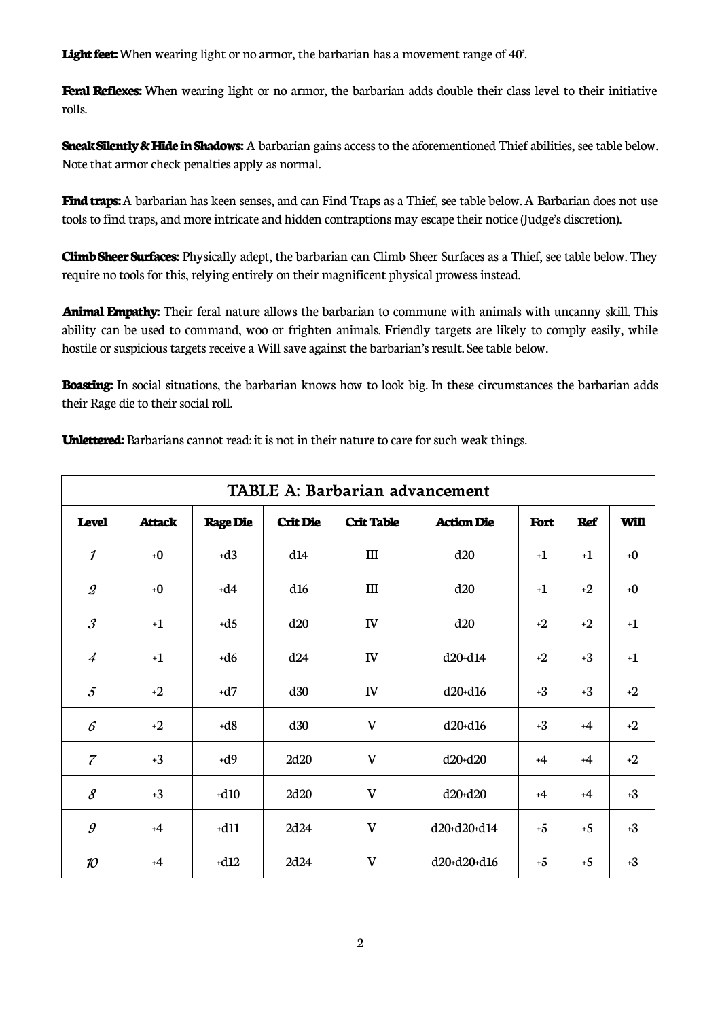Light feet: When wearing light or no armor, the barbarian has a movement range of 40'.

**Feral Reflexes:** When wearing light or no armor, the barbarian adds double their class level to their initiative rolls.

**Sneak Silently & Hide in Shadows:** A barbarian gains access to the aforementioned Thief abilities, see table below. Note that armor check penalties apply as normal.

**Find traps:** A barbarian has keen senses, and can Find Traps as a Thief, see table below. A Barbarian does not use tools to find traps, and more intricate and hidden contraptions may escape their notice (Judge's discretion).

**Climb Sheer Surfaces:** Physically adept, the barbarian can Climb Sheer Surfaces as a Thief, see table below. They require no tools for this, relying entirely on their magnificent physical prowess instead.

**Animal Empathy:** Their feral nature allows the barbarian to commune with animals with uncanny skill. This ability can be used to command, woo or frighten animals. Friendly targets are likely to comply easily, while hostile or suspicious targets receive a Will save against the barbarian's result. See table below.

**Boasting:** In social situations, the barbarian knows how to look big. In these circumstances the barbarian adds their Rage die to their social roll.

| <b>TABLE A: Barbarian advancement</b> |               |                 |                 |                                  |                   |      |            |      |  |  |  |  |
|---------------------------------------|---------------|-----------------|-----------------|----------------------------------|-------------------|------|------------|------|--|--|--|--|
| <b>Level</b>                          | <b>Attack</b> | <b>Rage Die</b> | <b>Crit Die</b> | <b>Crit Table</b>                | <b>Action Die</b> | Fort | <b>Ref</b> | Will |  |  |  |  |
| 1                                     | $+0$          | $+d3$           | d14             | $\mathop{\mathrm{III}}\nolimits$ | d20               | $+1$ | $+1$       | $+0$ |  |  |  |  |
| $\mathcal{Q}$                         | $+0$          | $+d4$           | d16             | $\rm III$                        | d20               | $+1$ | $+2$       | $+0$ |  |  |  |  |
| $\mathcal{S}_{\mathcal{S}}$           | $+1$          | $+d5$           | d20             | $I\!V$                           | d20               | $+2$ | $+2$       | $+1$ |  |  |  |  |
| $\overline{4}$                        | $+1$          | $+d6$           | d24             | ${\rm IV}$                       | d20+d14           | $+2$ | $+3$       | $+1$ |  |  |  |  |
| $\mathcal{S}_{0}$                     | $+2$          | $+d7$           | d30             | IV                               | $d20+ d16$        | $+3$ | $+3$       | $+2$ |  |  |  |  |
| $\epsilon$                            | $+2$          | $+d8$           | d30             | $\mathbf V$                      | $d20+ d16$        | $+3$ | $+4$       | $+2$ |  |  |  |  |
| $\overline{z}$                        | $+3$          | $+d9$           | 2d20            | $\mathbf{V}$                     | $d20 + d20$       | $+4$ | $+4$       | $+2$ |  |  |  |  |
| 8                                     | $+3$          | $+d10$          | 2d20            | $\mathbf V$                      | d20+d20           | $+4$ | $+4$       | $+3$ |  |  |  |  |
| $\mathcal{G}$                         | $+4$          | $+d11$          | 2d24            | $\mathbf V$                      | d20+d20+d14       | $+5$ | $+5$       | $+3$ |  |  |  |  |
| 10                                    | $+4$          | $+d12$          | 2d24            | $\mathbf V$                      | d20+d20+d16       | $+5$ | $+5$       | $+3$ |  |  |  |  |

**Unlettered:** Barbarians cannot read: it is not in their nature to care for such weak things.